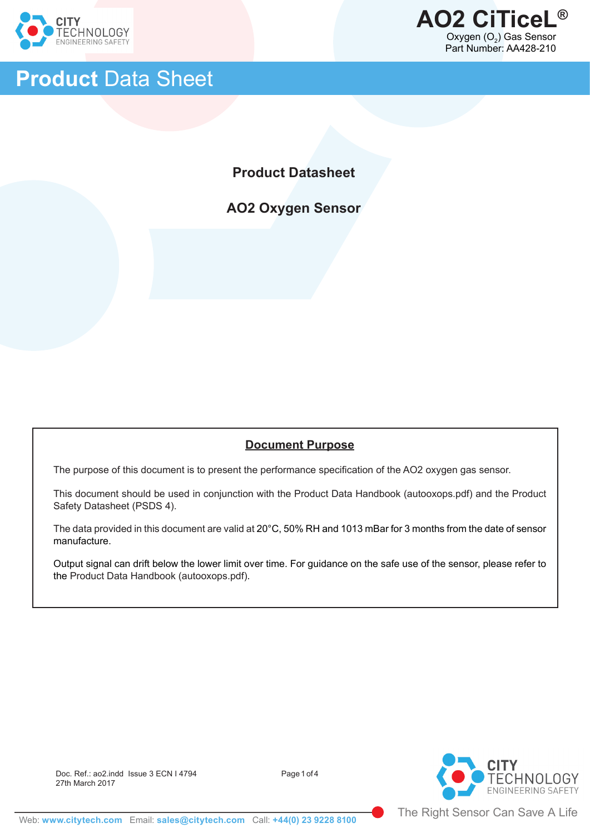

ֺ֝֡



# **Product** Data Sheet

**Product Datasheet**

**AO2 Oxygen Sensor**

## **Document Purpose**

The purpose of this document is to present the performance specification of the AO2 oxygen gas sensor.

This document should be used in conjunction with the Product Data Handbook (autooxops.pdf) and the Product Safety Datasheet (PSDS 4).

The data provided in this document are valid at 20°C, 50% RH and 1013 mBar for 3 months from the date of sensor manufacture.

Output signal can drift below the lower limit over time. For guidance on the safe use of the sensor, please refer to the Product Data Handbook (autooxops.pdf).

Doc. Ref.: ao2.indd Issue 3 ECN I 4794 Page 1 of 4 27th March 2017

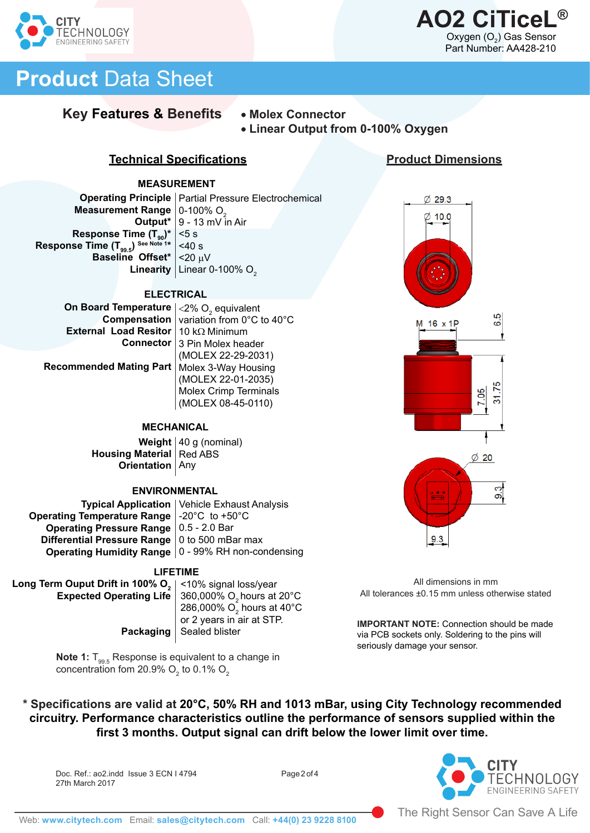



# **Product** Data Sheet

# **Key Features & Benefits** • **Molex Connector**

• **Linear Output from 0-100% Oxygen**

## **Technical Specifications**

#### **MEASUREMENT**

**Operating Principle** | Partial Pressure Electrochemical **Measurement Range** | 0-100% O<sub>2</sub> 9 - 13 mV in Air **Output\***  <5 s  $<$ 40 s **Baseline Offset\*** | <20 µV **Linearity** Linear 0-100%  $O^2$ **Response Time (T<sub>90</sub>)\*** Response Time (T<sub>99.5</sub>) See Note 1\*

#### **ELECTRICAL**

**On Board Temperature**  $\vert$  <2% O<sub>2</sub> equivalent **Compensation** | variation from 0°C to 40°C **External Load Resitor** | 10 kΩ Minimum **Connector** | 3 Pin Molex header (MOLEX 22-29-2031)

**Recommended Mating Part**

#### **MECHANICAL**

Molex 3-Way Housing (MOLEX 22-01-2035) Molex Crimp Terminals (MOLEX 08-45-0110)

**Weight** | 40 g (nominal) **Housing Material** Red ABS **Orientation** | Any

#### **ENVIRONMENTAL**

|                                                      | <b>Typical Application   Vehicle Exhaust Analysis</b> |
|------------------------------------------------------|-------------------------------------------------------|
| Operating Temperature Range $\vert$ -20°C to +50°C   |                                                       |
| <b>Operating Pressure Range   0.5 - 2.0 Bar</b>      |                                                       |
| Differential Pressure Range   0 to 500 mBar max      |                                                       |
| Operating Humidity Range   0 - 99% RH non-condensing |                                                       |

#### **LIFETIME**

Long Term Ouput Drift in 100% O<sub>2</sub> **Expected Operating Life**

#### <10% signal loss/year 360,000% O<sub>2</sub> hours at 20°C 286,000%  $\mathrm{O}_2$  hours at 40°C or 2 years in air at STP. Sealed blister

**Note 1:** T<sub>99.5</sub> Response is equivalent to a change in concentration fom 20.9%  $\mathrm{O}_2$  to 0.1%  $\mathrm{O}_2$ 

**Packaging**





All dimensions in mm All tolerances ±0.15 mm unless otherwise stated

**IMPORTANT NOTE:** Connection should be made via PCB sockets only. Soldering to the pins will seriously damage your sensor.

**\* Specifications are valid at 20°C, 50% RH and 1013 mBar, using City Technology recommended circuitry. Performance characteristics outline the performance of sensors supplied within the first 3 months. Output signal can drift below the lower limit over time.** 

Doc. Ref.: ao2.indd Issue 3 ECN I 4794 Page 2 of 4 27th March 2017